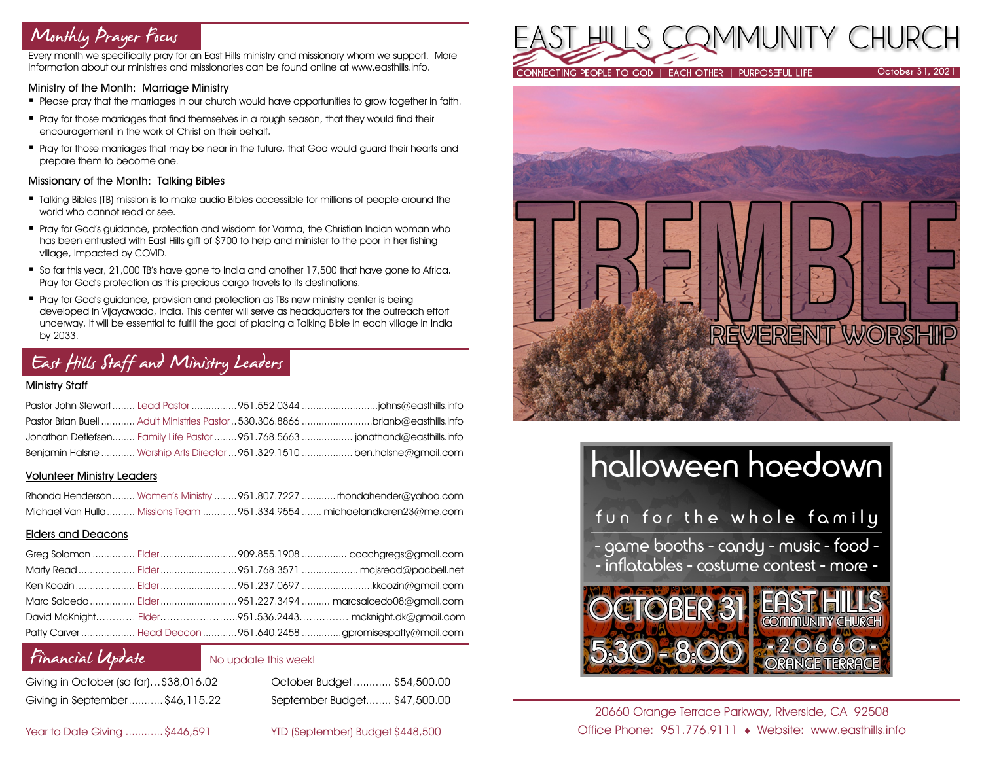## Monthly Prayer Focus

Every month we specifically pray for an East Hills ministry and missionary whom we support. More information about our ministries and missionaries can be found online at www.easthills.info.

### Ministry of the Month: Marriage Ministry

- **Please pray that the marriages in our church would have opportunities to grow together in faith.**
- **Pray for those marriages that find themselves in a rough season, that they would find their** encouragement in the work of Christ on their behalf.
- **Pray for those marriages that may be near in the future, that God would guard their hearts and** prepare them to become one.

### Missionary of the Month: Talking Bibles

- Talking Bibles (TB) mission is to make audio Bibles accessible for millions of people around the world who cannot read or see.
- Pray for God's guidance, protection and wisdom for Varma, the Christian Indian woman who has been entrusted with East Hills gift of \$700 to help and minister to the poor in her fishing village, impacted by COVID.
- So far this year, 21,000 TB's have gone to India and another 17,500 that have gone to Africa. Pray for God's protection as this precious cargo travels to its destinations.
- Pray for God's guidance, provision and protection as TBs new ministry center is being developed in Vijayawada, India. This center will serve as headquarters for the outreach effort underway. It will be essential to fulfill the goal of placing a Talking Bible in each village in India by 2033.

## East Hills Staff and Ministry Leaders

### Ministry Staff

|  | Pastor Brian Buell  Adult Ministries Pastor  530.306.8866 brianb@easthills.info |
|--|---------------------------------------------------------------------------------|
|  | Jonathan Detlefsen Family Life Pastor  951.768.5663  jonathand@easthills.info   |
|  | Benjamin Halsne  Worship Arts Director  951.329.1510  ben.halsne@gmail.com      |

### Volunteer Ministry Leaders

|  | Rhonda Henderson Women's Ministry  951.807.7227  rhondahender@yahoo.com |
|--|-------------------------------------------------------------------------|
|  | Michael Van Hulla Missions Team 951.334.9554  michaelandkaren23@me.com  |

### Elders and Deacons

|  | David McKnight Elder951.536.2443 mcknight.dk@gmail.com          |
|--|-----------------------------------------------------------------|
|  | Patty Carver  Head Deacon  951.640.2458 gpromisespatty@mail.com |

### Financial Update

No update this week!

| Giving in October (so far)\$38,016.02 |  |
|---------------------------------------|--|
| Giving in September\$46,115.22        |  |

October Budget............ \$54,500.00 Giving in September...........\$46,115.22 September Budget........ \$47,500.00

### Year to Date Giving ............\$446,591 YTD (September) Budget \$448,500





# halloween hoedown fun for the whole family - game booths - candy - music - food -- inflatables - costume contest - more -OBER

20660 Orange Terrace Parkway, Riverside, CA 92508 Office Phone: 951.776.9111 Website: www.easthills.info